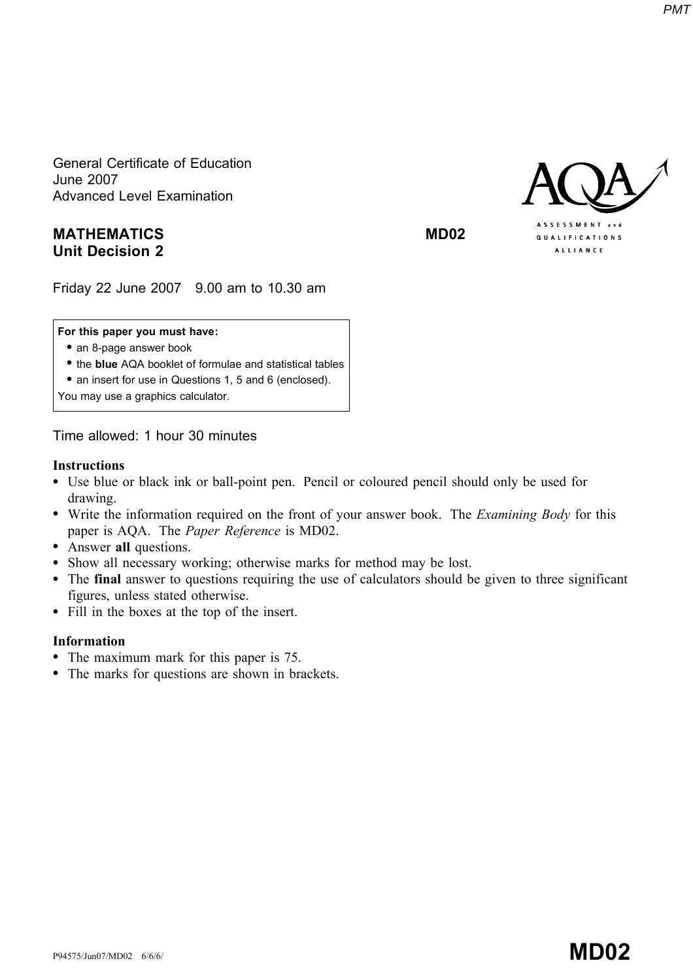General Certificate of Education June 2007 Advanced Level Examination

### MATHEMATICS MD02 Unit Decision 2

Friday 22 June 2007 9.00 am to 10.30 am

#### For this paper you must have:

- an 8-page answer book
- the blue AQA booklet of formulae and statistical tables
- an insert for use in Questions 1, 5 and 6 (enclosed).

You may use a graphics calculator.

Time allowed: 1 hour 30 minutes

#### Instructions

- \* Use blue or black ink or ball-point pen. Pencil or coloured pencil should only be used for drawing.
- Write the information required on the front of your answer book. The *Examining Body* for this paper is AQA. The Paper Reference is MD02.
- Answer all questions.
- \* Show all necessary working; otherwise marks for method may be lost.
- \* The final answer to questions requiring the use of calculators should be given to three significant figures, unless stated otherwise.
- Fill in the boxes at the top of the insert.

#### Information

- The maximum mark for this paper is 75.
- The marks for questions are shown in brackets.

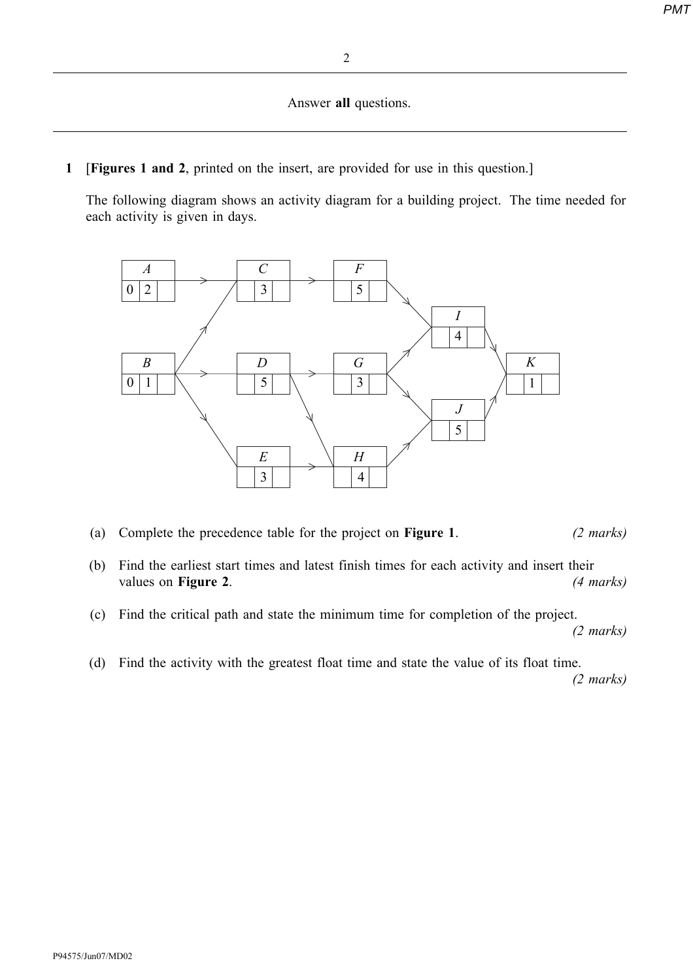Answer all questions.

1 [Figures 1 and 2, printed on the insert, are provided for use in this question.]

The following diagram shows an activity diagram for a building project. The time needed for each activity is given in days.



- (a) Complete the precedence table for the project on Figure 1. (2 marks)
- (b) Find the earliest start times and latest finish times for each activity and insert their values on **Figure 2.** (4 marks)
- (c) Find the critical path and state the minimum time for completion of the project.

(2 marks)

(d) Find the activity with the greatest float time and state the value of its float time.

(2 marks)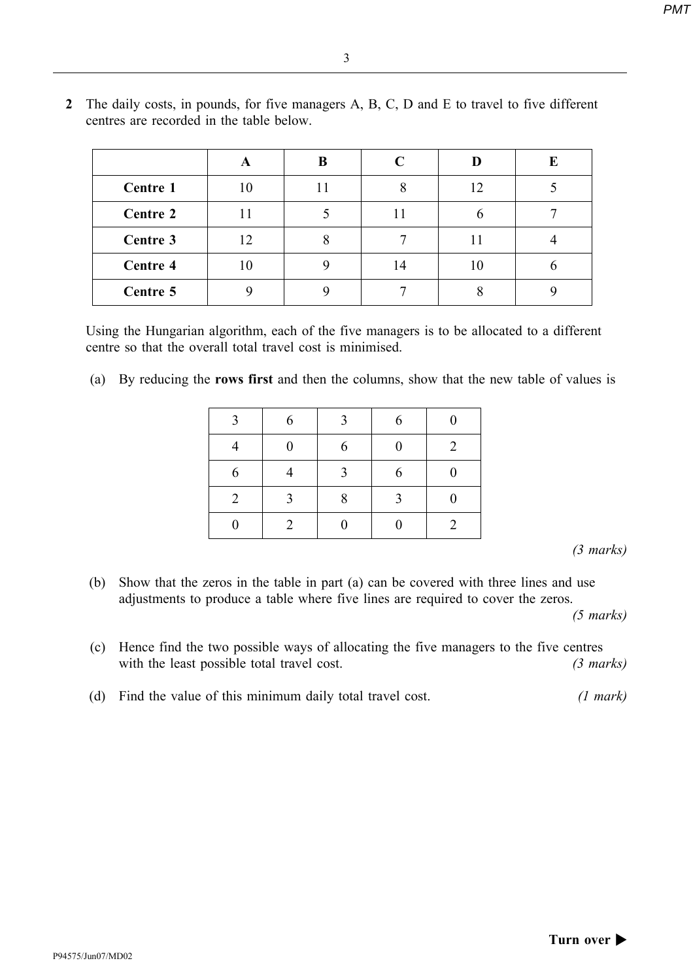| ۰, | ٦<br>۰. |    |  |
|----|---------|----|--|
|    |         |    |  |
|    |         | š  |  |
| ×  | ۰.      | ۰, |  |

|                 | A  | B | C  |    | E |
|-----------------|----|---|----|----|---|
| Centre 1        |    |   | 8  | 12 |   |
| <b>Centre 2</b> |    |   |    |    |   |
| Centre 3        | 12 |   |    |    |   |
| Centre 4        |    |   | 14 |    |   |
| Centre 5        |    |   |    |    |   |

2 The daily costs, in pounds, for five managers A, B, C, D and E to travel to five different centres are recorded in the table below.

Using the Hungarian algorithm, each of the five managers is to be allocated to a different centre so that the overall total travel cost is minimised.

(a) By reducing the rows first and then the columns, show that the new table of values is

| 3              | 6                | 3              | 6                | $\overline{0}$ |
|----------------|------------------|----------------|------------------|----------------|
|                | $\boldsymbol{0}$ | 6              | $\boldsymbol{0}$ | $\overline{2}$ |
| 6              |                  | $\overline{3}$ | 6                | $\overline{0}$ |
| $\overline{2}$ | $\mathcal{Z}$    | 8              | $\overline{3}$   | 0              |
|                | 2                |                |                  | $\overline{2}$ |

(3 marks)

(b) Show that the zeros in the table in part (a) can be covered with three lines and use adjustments to produce a table where five lines are required to cover the zeros.

(5 marks)

- (c) Hence find the two possible ways of allocating the five managers to the five centres with the least possible total travel cost. (3 marks)
- (d) Find the value of this minimum daily total travel cost. (1 mark)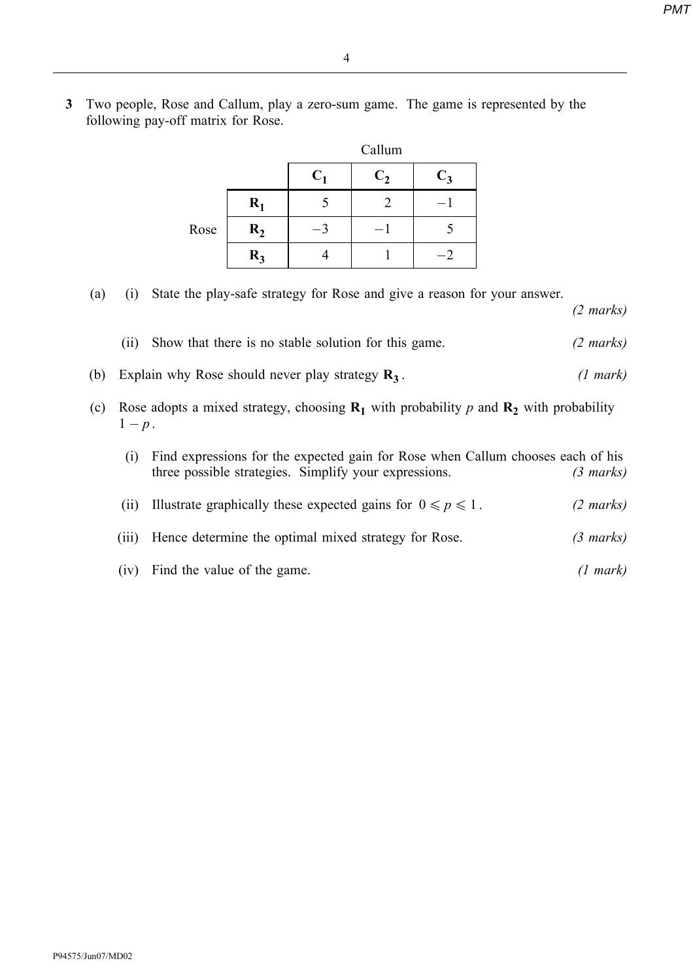(2 marks)

3 Two people, Rose and Callum, play a zero-sum game. The game is represented by the following pay-off matrix for Rose.

|      |       | Callum |         |       |
|------|-------|--------|---------|-------|
|      |       | $C_1$  | $C_{2}$ | $C_3$ |
|      | $R_1$ |        |         |       |
| Rose | $R_2$ |        |         |       |
|      | $R_3$ |        |         |       |

(a) (i) State the play-safe strategy for Rose and give a reason for your answer.

|  | (ii) Show that there is no stable solution for this game. | $(2 \text{ marks})$ |
|--|-----------------------------------------------------------|---------------------|
|  |                                                           |                     |

(b) Explain why Rose should never play strategy  $\mathbf{R}_3$ . (1 mark)

(c) Rose adopts a mixed strategy, choosing  $\mathbf{R}_1$  with probability p and  $\mathbf{R}_2$  with probability  $1-p$ .

|  | (i) Find expressions for the expected gain for Rose when Callum chooses each of his |                     |
|--|-------------------------------------------------------------------------------------|---------------------|
|  | three possible strategies. Simplify your expressions.                               | $(3 \text{ marks})$ |

- (ii) Illustrate graphically these expected gains for  $0 \le p \le 1$ . (2 marks)
- (iii) Hence determine the optimal mixed strategy for Rose. (3 marks)
- (iv) Find the value of the game. (1 mark)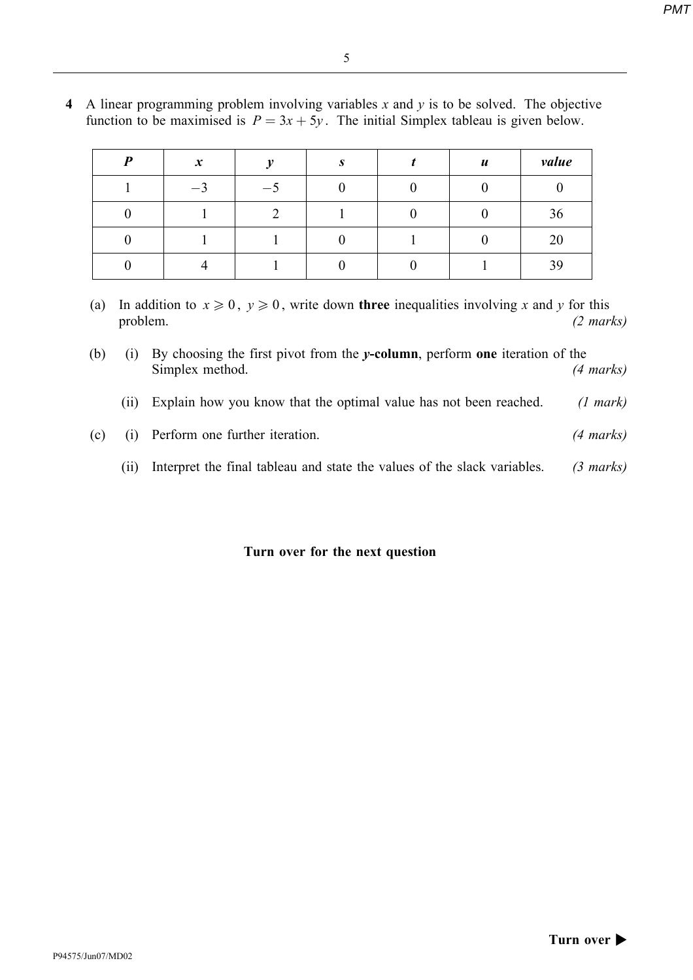| Ξ                     |  |
|-----------------------|--|
| n an<br>۲             |  |
| ٠<br>٦<br>I<br>×<br>v |  |
|                       |  |

| D | $\boldsymbol{x}$ | $\mathbf{u}$  | $\mathbf{C}$ | $\boldsymbol{u}$ | value |
|---|------------------|---------------|--------------|------------------|-------|
|   | $\bigcap$<br>— 1 | $\frac{1}{2}$ |              |                  |       |
|   |                  |               |              |                  | 36    |
|   |                  |               |              |                  | 20    |
|   |                  |               |              |                  | 39    |

4 A linear programming problem involving variables  $x$  and  $y$  is to be solved. The objective function to be maximised is  $P = 3x + 5y$ . The initial Simplex tableau is given below.

- (a) In addition to  $x \ge 0$ ,  $y \ge 0$ , write down three inequalities involving x and y for this problem. (2 marks)
- (b) (i) By choosing the first pivot from the y-column, perform one iteration of the Simplex method. (4 marks)
	- (ii) Explain how you know that the optimal value has not been reached. (1 mark)
- (c) (i) Perform one further iteration. (4 marks)
	- (ii) Interpret the final tableau and state the values of the slack variables. (3 marks)

#### Turn over for the next question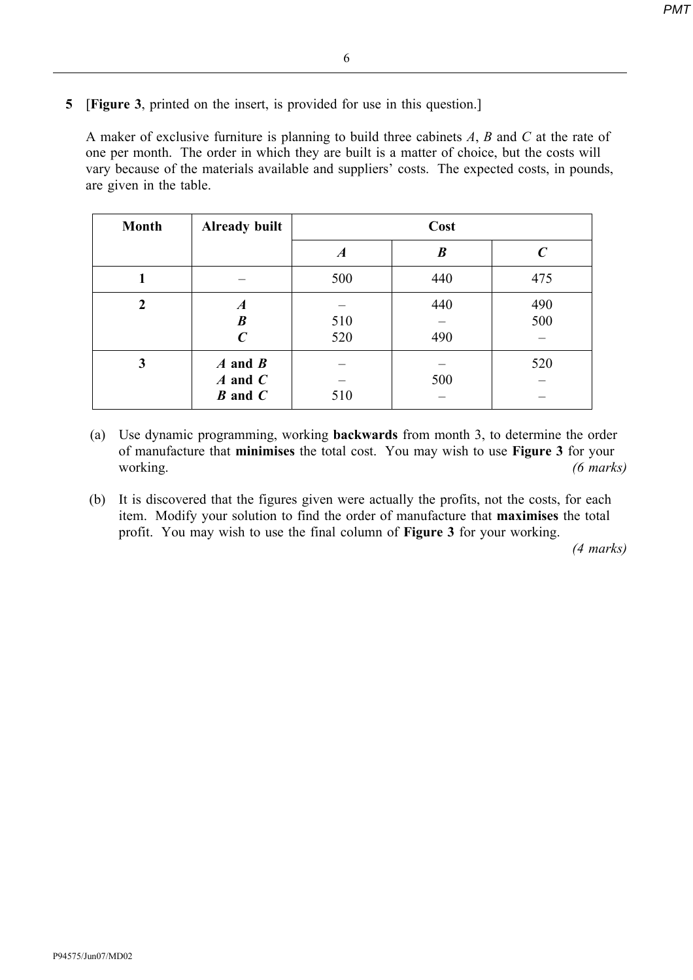- 6
- 5 [Figure 3, printed on the insert, is provided for use in this question.]

A maker of exclusive furniture is planning to build three cabinets  $A$ ,  $B$  and  $C$  at the rate of one per month. The order in which they are built is a matter of choice, but the costs will vary because of the materials available and suppliers' costs. The expected costs, in pounds, are given in the table.

| <b>Month</b> | Already built                                            | Cost       |            |              |
|--------------|----------------------------------------------------------|------------|------------|--------------|
|              |                                                          | A          | B          | $\mathcal C$ |
|              |                                                          | 500        | 440        | 475          |
| 2            | $\boldsymbol{A}$<br>$\boldsymbol{B}$<br>$\boldsymbol{C}$ | 510<br>520 | 440<br>490 | 490<br>500   |
| 3            | $A$ and $B$<br>$A$ and $C$<br>$B$ and $C$                | 510        | 500        | 520          |

(a) Use dynamic programming, working backwards from month 3, to determine the order of manufacture that minimises the total cost. You may wish to use Figure 3 for your working. (6 marks)

(b) It is discovered that the figures given were actually the profits, not the costs, for each item. Modify your solution to find the order of manufacture that maximises the total profit. You may wish to use the final column of Figure 3 for your working.

(4 marks)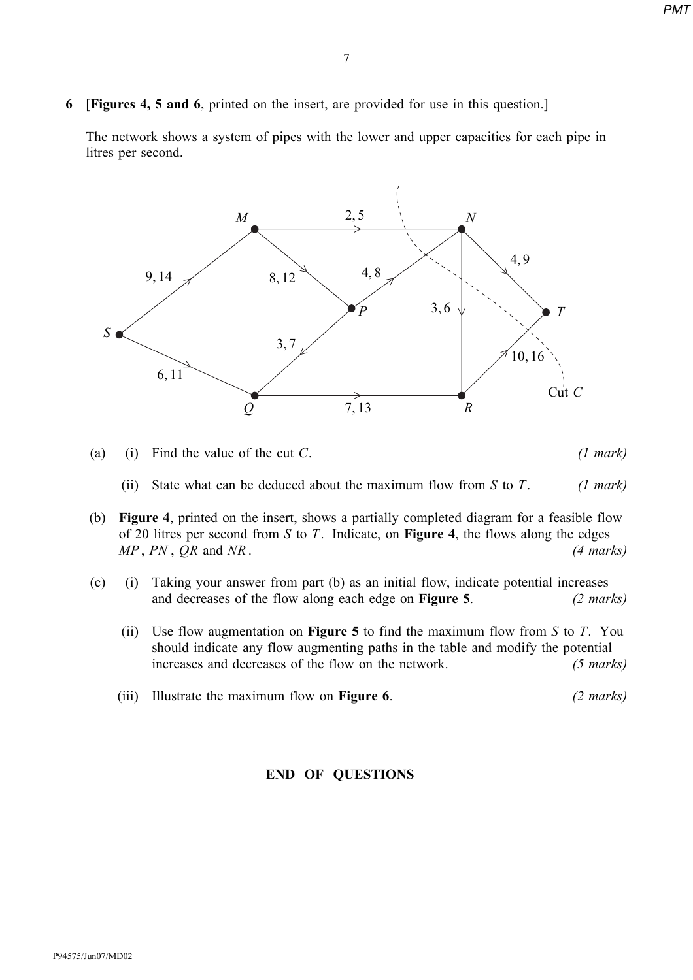6 [Figures 4, 5 and 6, printed on the insert, are provided for use in this question.]

The network shows a system of pipes with the lower and upper capacities for each pipe in litres per second.



- (a) (i) Find the value of the cut C.  $(1 mark)$ 
	- (ii) State what can be deduced about the maximum flow from S to T. (1 mark)
- (b) Figure 4, printed on the insert, shows a partially completed diagram for a feasible flow of 20 litres per second from S to T. Indicate, on **Figure 4**, the flows along the edges  $MP$ ,  $PN$ ,  $QR$  and  $NR$ . (4 marks)
- (c) (i) Taking your answer from part (b) as an initial flow, indicate potential increases and decreases of the flow along each edge on **Figure 5**. (2 marks)
	- (ii) Use flow augmentation on **Figure 5** to find the maximum flow from S to T. You should indicate any flow augmenting paths in the table and modify the potential increases and decreases of the flow on the network. (5 marks)
	- (iii) Illustrate the maximum flow on **Figure 6.** (2 marks)

## END OF QUESTIONS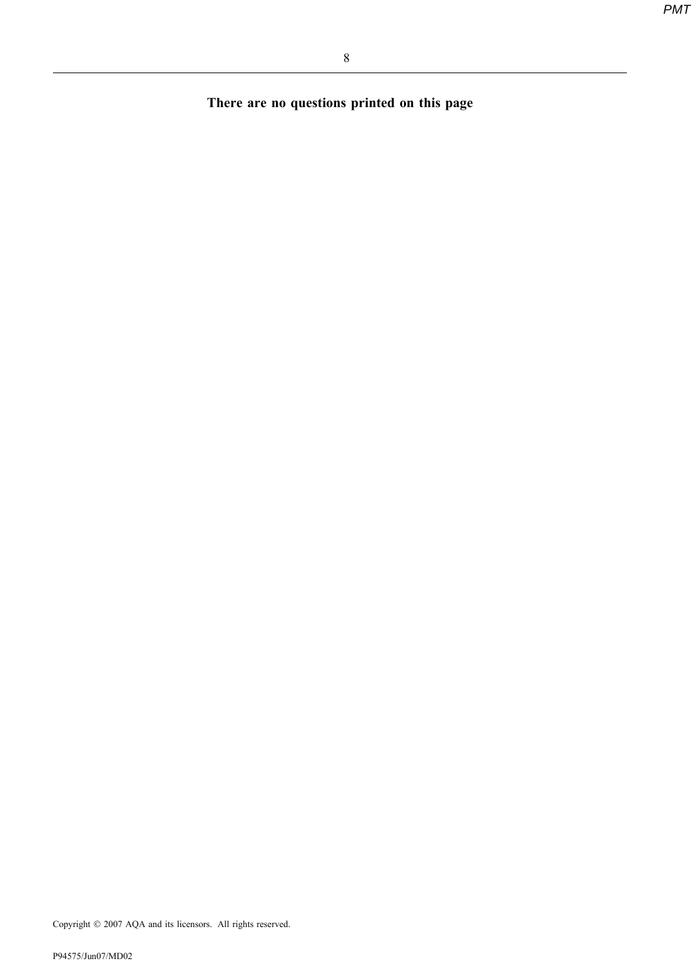There are no questions printed on this page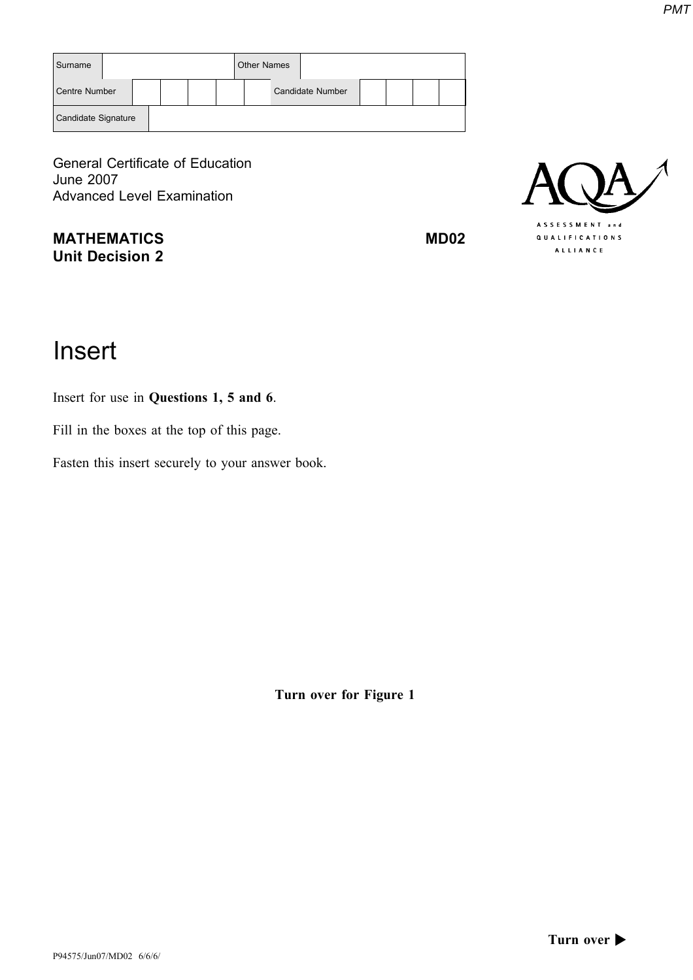| Surname             |  |  | <b>Other Names</b> |                         |  |  |
|---------------------|--|--|--------------------|-------------------------|--|--|
| Centre Number       |  |  |                    | <b>Candidate Number</b> |  |  |
| Candidate Signature |  |  |                    |                         |  |  |

General Certificate of Education June 2007 Advanced Level Examination

MATHEMATICS MD02 Unit Decision 2



# Insert

Insert for use in Questions 1, 5 and 6.

Fill in the boxes at the top of this page.

Fasten this insert securely to your answer book.

Turn over for Figure 1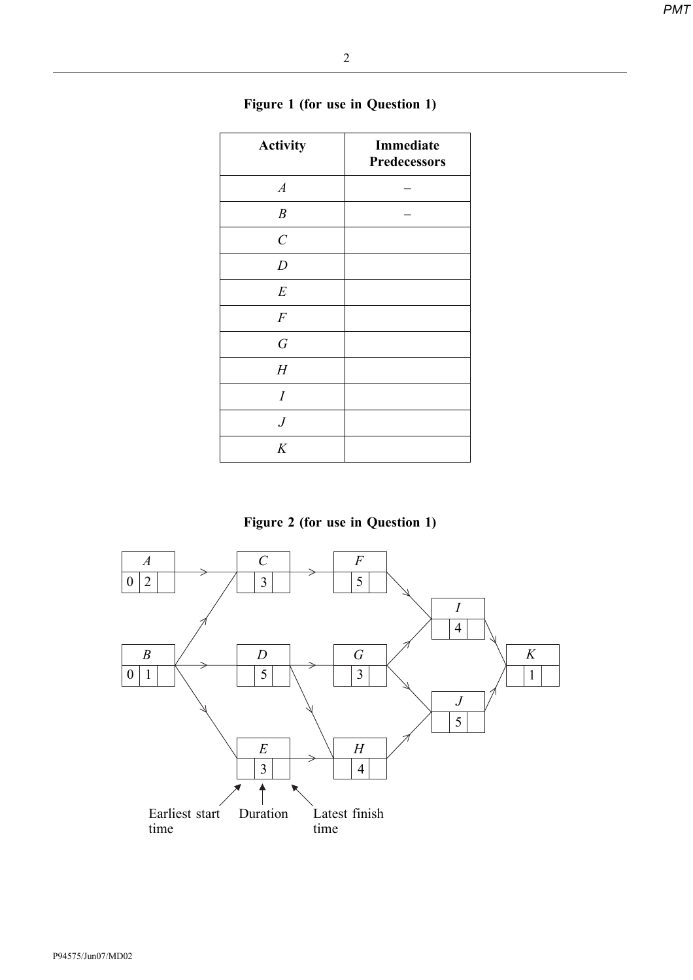| I<br>I |
|--------|
| I<br>v |
|        |
|        |

| <b>Activity</b>         | Immediate<br>Predecessors |
|-------------------------|---------------------------|
| $\boldsymbol{A}$        |                           |
| $\boldsymbol{B}$        |                           |
| $\mathcal{C}_{0}^{(n)}$ |                           |
| $\boldsymbol{D}$        |                           |
| $\cal E$                |                           |
| $\cal F$                |                           |
| $\cal G$                |                           |
| H                       |                           |
| $\overline{I}$          |                           |
| $\boldsymbol{J}$        |                           |
| K                       |                           |

# Figure 1 (for use in Question 1)

Figure 2 (for use in Question 1)

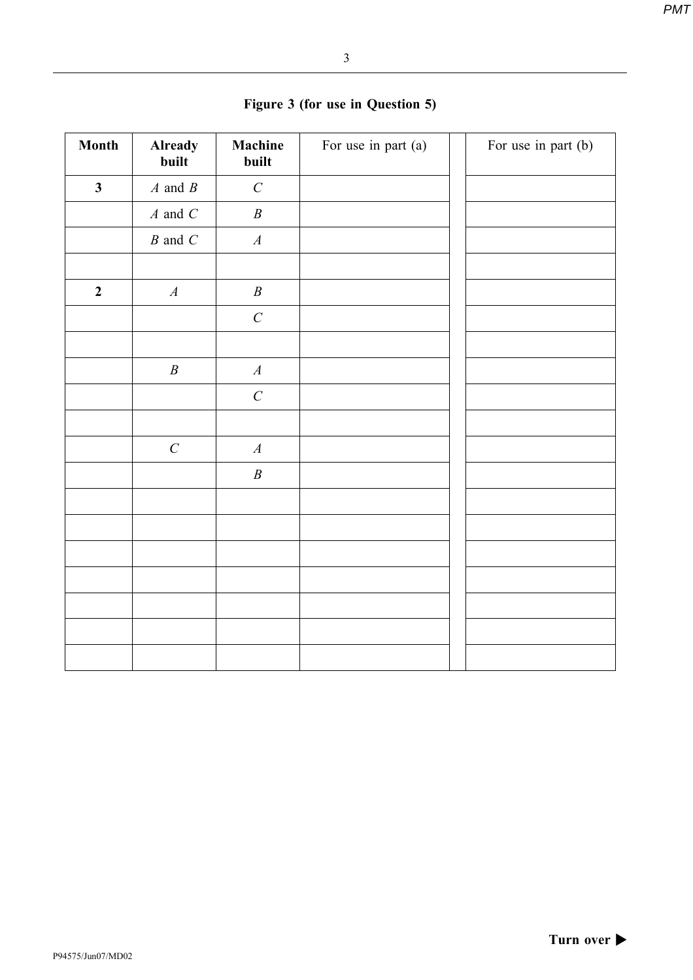| Month                   | <b>Already</b><br>built               | Machine<br>built | For use in part (a) | For use in part (b) |
|-------------------------|---------------------------------------|------------------|---------------------|---------------------|
| $\overline{\mathbf{3}}$ | $A$ and $B$                           | $\cal C$         |                     |                     |
|                         | $A$ and $C$                           | $\boldsymbol{B}$ |                     |                     |
|                         | $\boldsymbol{B}$ and $\boldsymbol{C}$ | $\boldsymbol{A}$ |                     |                     |
|                         |                                       |                  |                     |                     |
| $\boldsymbol{2}$        | $\boldsymbol{A}$                      | $\boldsymbol{B}$ |                     |                     |
|                         |                                       | $\cal C$         |                     |                     |
|                         |                                       |                  |                     |                     |
|                         | $\boldsymbol{B}$                      | $\boldsymbol{A}$ |                     |                     |
|                         |                                       | $\cal C$         |                     |                     |
|                         |                                       |                  |                     |                     |
|                         | $\boldsymbol{C}$                      | $\boldsymbol{A}$ |                     |                     |
|                         |                                       | $\boldsymbol{B}$ |                     |                     |
|                         |                                       |                  |                     |                     |
|                         |                                       |                  |                     |                     |
|                         |                                       |                  |                     |                     |
|                         |                                       |                  |                     |                     |
|                         |                                       |                  |                     |                     |
|                         |                                       |                  |                     |                     |
|                         |                                       |                  |                     |                     |
|                         |                                       |                  |                     |                     |

# Figure 3 (for use in Question 5)